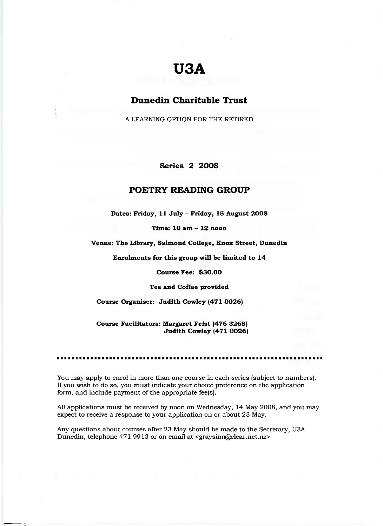# **USA**

## **Dunedin Charitable Trust**

A LEARNING OPTION FOR THE RETIRED

**Series 2 2OO8**

### **POETRY READING GROUP**

**Dates: Friday, 11 July - Friday, 15 August 2OO8**

**Time: 10 am - 12 noon**

**Venue: The Library, Salmond College, Knox Street, Dunedin**

Enrolments **for this group will be limited to 14**

**Course Fee: \$30.00**

**Tea and Coffee provided**

**Course Organiser: Judith Cowley (471 0026)**

**Course Facilitators: Margaret Feist (476 3268) Judith Cowley (471 0026)**

You may apply to enrol in more than one course in each series (subject to numbers). If you wish to do so, you must indicate your choice preference on the application form, and include payment of the appropriate fee(s).

All applications must be received by noon on Wednesday, 14 May 2008, and you may expect to receive a response to your application on or about 23 May.

Any questions about courses after 23 May should be made to the Secretary, USA Dunedin, telephone 471 9913 or on email at <graysinn@clear.net.nz>